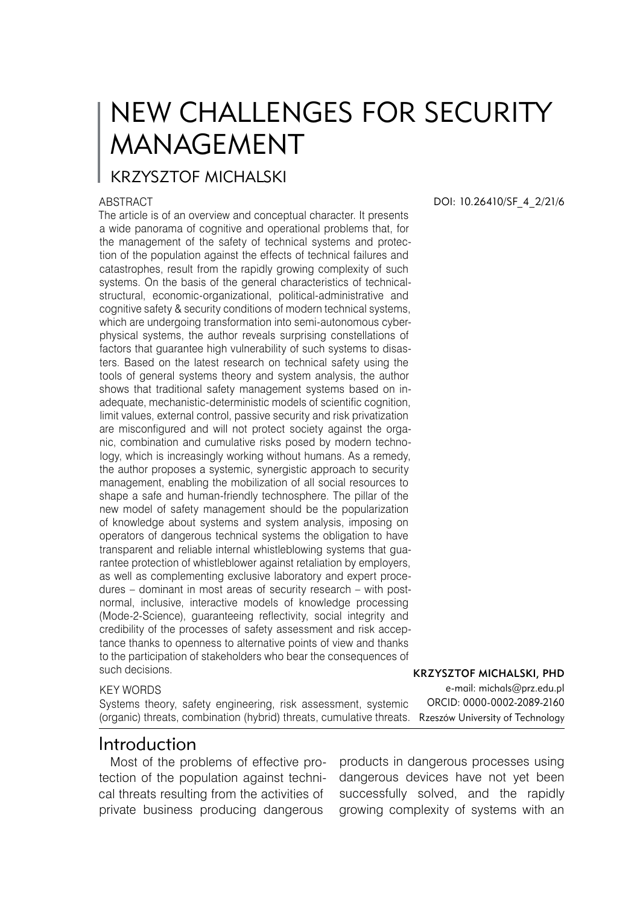# NEW CHALLENGES FOR SECURITY MANAGEMENT

# KRZYSZTOF MICHALSKI

#### ABSTRACT

The article is of an overview and conceptual character. It presents a wide panorama of cognitive and operational problems that, for the management of the safety of technical systems and protection of the population against the effects of technical failures and catastrophes, result from the rapidly growing complexity of such systems. On the basis of the general characteristics of technicalstructural, economic-organizational, political-administrative and cognitive safety & security conditions of modern technical systems, which are undergoing transformation into semi-autonomous cyberphysical systems, the author reveals surprising constellations of factors that guarantee high vulnerability of such systems to disasters. Based on the latest research on technical safety using the tools of general systems theory and system analysis, the author shows that traditional safety management systems based on inadequate, mechanistic-deterministic models of scientific cognition, limit values, external control, passive security and risk privatization are misconfigured and will not protect society against the organic, combination and cumulative risks posed by modern technology, which is increasingly working without humans. As a remedy, the author proposes a systemic, synergistic approach to security management, enabling the mobilization of all social resources to shape a safe and human-friendly technosphere. The pillar of the new model of safety management should be the popularization of knowledge about systems and system analysis, imposing on operators of dangerous technical systems the obligation to have transparent and reliable internal whistleblowing systems that guarantee protection of whistleblower against retaliation by employers, as well as complementing exclusive laboratory and expert procedures – dominant in most areas of security research – with postnormal, inclusive, interactive models of knowledge processing (Mode-2-Science), guaranteeing reflectivity, social integrity and credibility of the processes of safety assessment and risk acceptance thanks to openness to alternative points of view and thanks to the participation of stakeholders who bear the consequences of such decisions. Krzysztof Michalski, PhD

#### KEY WORDS

Systems theory, safety engineering, risk assessment, systemic (organic) threats, combination (hybrid) threats, cumulative threats. Rzeszów University of Technology

#### Introduction

Most of the problems of effective protection of the population against technical threats resulting from the activities of private business producing dangerous

DOI: 10.26410/SF\_4\_2/21/6

e-mail: michals@prz.edu.pl ORCID: 0000-0002-2089-2160

products in dangerous processes using dangerous devices have not yet been successfully solved, and the rapidly growing complexity of systems with an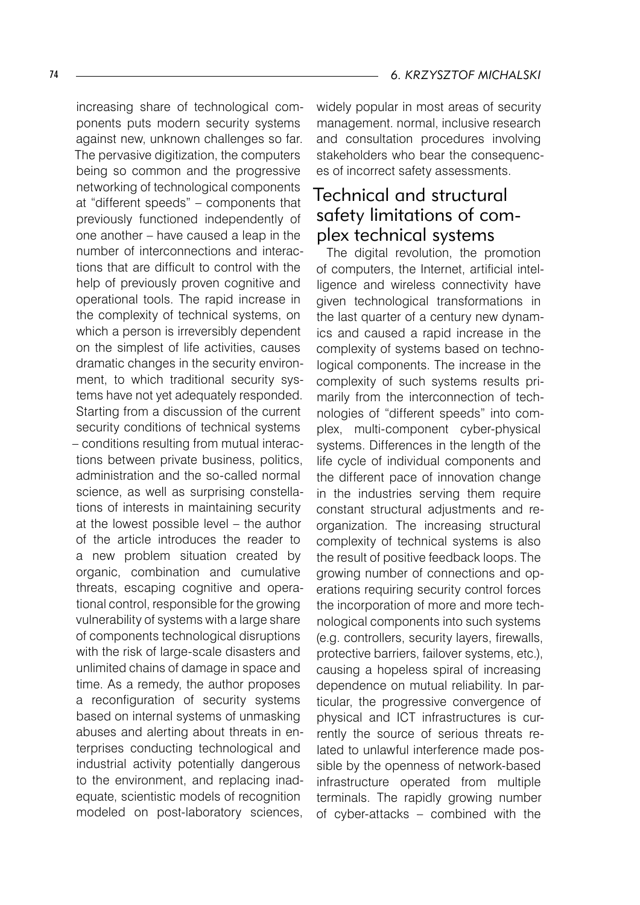increasing share of technological components puts modern security systems against new, unknown challenges so far. The pervasive digitization, the computers being so common and the progressive networking of technological components at "different speeds" – components that previously functioned independently of one another – have caused a leap in the number of interconnections and interactions that are difficult to control with the help of previously proven cognitive and operational tools. The rapid increase in the complexity of technical systems, on which a person is irreversibly dependent on the simplest of life activities, causes dramatic changes in the security environment, to which traditional security systems have not yet adequately responded. Starting from a discussion of the current security conditions of technical systems – conditions resulting from mutual interactions between private business, politics, administration and the so-called normal science, as well as surprising constellations of interests in maintaining security at the lowest possible level – the author of the article introduces the reader to a new problem situation created by organic, combination and cumulative threats, escaping cognitive and operational control, responsible for the growing vulnerability of systems with a large share of components technological disruptions with the risk of large-scale disasters and unlimited chains of damage in space and time. As a remedy, the author proposes a reconfiguration of security systems based on internal systems of unmasking abuses and alerting about threats in enterprises conducting technological and industrial activity potentially dangerous to the environment, and replacing inadequate, scientistic models of recognition modeled on post-laboratory sciences,

widely popular in most areas of security management. normal, inclusive research and consultation procedures involving stakeholders who bear the consequences of incorrect safety assessments.

#### Technical and structural safety limitations of complex technical systems

The digital revolution, the promotion of computers, the Internet, artificial intelligence and wireless connectivity have given technological transformations in the last quarter of a century new dynamics and caused a rapid increase in the complexity of systems based on technological components. The increase in the complexity of such systems results primarily from the interconnection of technologies of "different speeds" into complex, multi-component cyber-physical systems. Differences in the length of the life cycle of individual components and the different pace of innovation change in the industries serving them require constant structural adjustments and reorganization. The increasing structural complexity of technical systems is also the result of positive feedback loops. The growing number of connections and operations requiring security control forces the incorporation of more and more technological components into such systems (e.g. controllers, security layers, firewalls, protective barriers, failover systems, etc.), causing a hopeless spiral of increasing dependence on mutual reliability. In particular, the progressive convergence of physical and ICT infrastructures is currently the source of serious threats related to unlawful interference made possible by the openness of network-based infrastructure operated from multiple terminals. The rapidly growing number of cyber-attacks – combined with the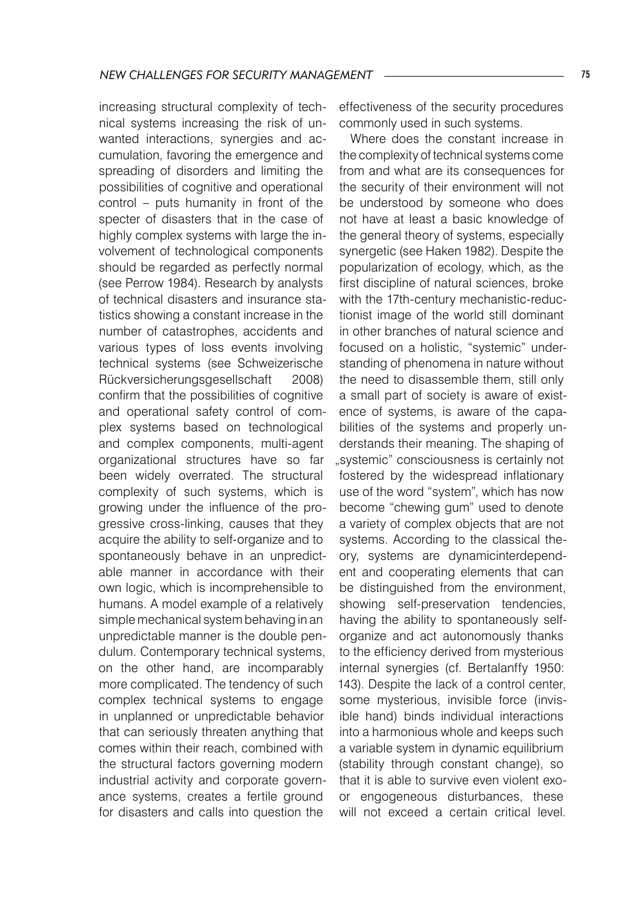increasing structural complexity of technical systems increasing the risk of unwanted interactions, synergies and accumulation, favoring the emergence and spreading of disorders and limiting the possibilities of cognitive and operational control – puts humanity in front of the specter of disasters that in the case of highly complex systems with large the involvement of technological components should be regarded as perfectly normal (see Perrow 1984). Research by analysts of technical disasters and insurance statistics showing a constant increase in the number of catastrophes, accidents and various types of loss events involving technical systems (see Schweizerische Rückversicherungsgesellschaft 2008) confirm that the possibilities of cognitive and operational safety control of complex systems based on technological and complex components, multi-agent organizational structures have so far been widely overrated. The structural complexity of such systems, which is growing under the influence of the progressive cross-linking, causes that they acquire the ability to self-organize and to spontaneously behave in an unpredictable manner in accordance with their own logic, which is incomprehensible to humans. A model example of a relatively simple mechanical system behaving in an unpredictable manner is the double pendulum. Contemporary technical systems, on the other hand, are incomparably more complicated. The tendency of such complex technical systems to engage in unplanned or unpredictable behavior that can seriously threaten anything that comes within their reach, combined with the structural factors governing modern industrial activity and corporate governance systems, creates a fertile ground for disasters and calls into question the

effectiveness of the security procedures commonly used in such systems.

Where does the constant increase in the complexity of technical systems come from and what are its consequences for the security of their environment will not be understood by someone who does not have at least a basic knowledge of the general theory of systems, especially synergetic (see Haken 1982). Despite the popularization of ecology, which, as the first discipline of natural sciences, broke with the 17th-century mechanistic-reductionist image of the world still dominant in other branches of natural science and focused on a holistic, "systemic" understanding of phenomena in nature without the need to disassemble them, still only a small part of society is aware of existence of systems, is aware of the capabilities of the systems and properly understands their meaning. The shaping of "systemic" consciousness is certainly not fostered by the widespread inflationary use of the word "system", which has now become "chewing gum" used to denote a variety of complex objects that are not systems. According to the classical theory, systems are dynamicinterdependent and cooperating elements that can be distinguished from the environment, showing self-preservation tendencies, having the ability to spontaneously selforganize and act autonomously thanks to the efficiency derived from mysterious internal synergies (cf. Bertalanffy 1950: 143). Despite the lack of a control center, some mysterious, invisible force (invisible hand) binds individual interactions into a harmonious whole and keeps such a variable system in dynamic equilibrium (stability through constant change), so that it is able to survive even violent exoor engogeneous disturbances, these will not exceed a certain critical level.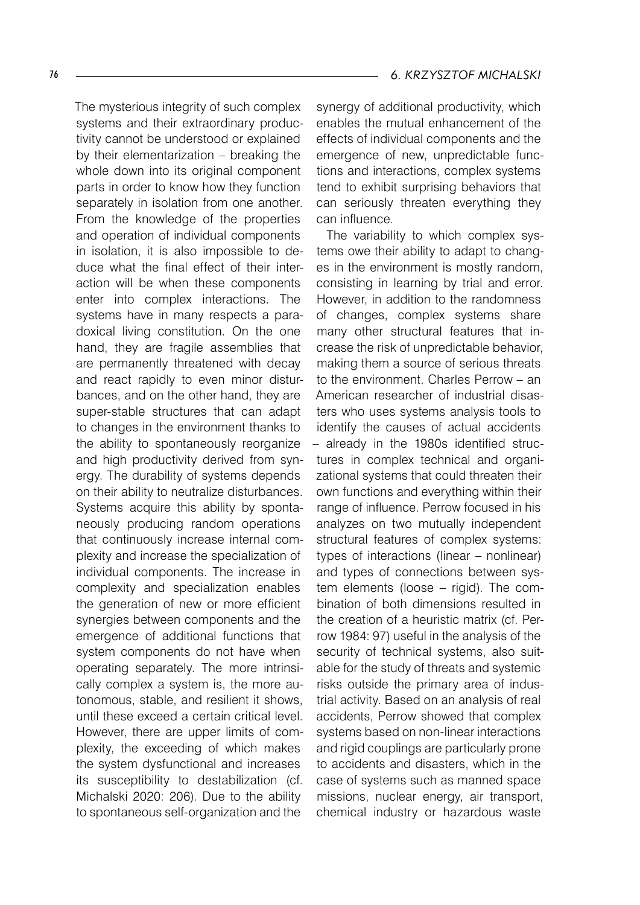The mysterious integrity of such complex systems and their extraordinary productivity cannot be understood or explained by their elementarization – breaking the whole down into its original component parts in order to know how they function separately in isolation from one another. From the knowledge of the properties and operation of individual components in isolation, it is also impossible to deduce what the final effect of their interaction will be when these components enter into complex interactions. The systems have in many respects a paradoxical living constitution. On the one hand, they are fragile assemblies that are permanently threatened with decay and react rapidly to even minor disturbances, and on the other hand, they are super-stable structures that can adapt to changes in the environment thanks to the ability to spontaneously reorganize and high productivity derived from synergy. The durability of systems depends on their ability to neutralize disturbances. Systems acquire this ability by spontaneously producing random operations that continuously increase internal complexity and increase the specialization of individual components. The increase in complexity and specialization enables the generation of new or more efficient synergies between components and the emergence of additional functions that system components do not have when operating separately. The more intrinsically complex a system is, the more autonomous, stable, and resilient it shows, until these exceed a certain critical level. However, there are upper limits of complexity, the exceeding of which makes the system dysfunctional and increases its susceptibility to destabilization (cf. Michalski 2020: 206). Due to the ability to spontaneous self-organization and the

synergy of additional productivity, which enables the mutual enhancement of the effects of individual components and the emergence of new, unpredictable functions and interactions, complex systems tend to exhibit surprising behaviors that can seriously threaten everything they can influence.

The variability to which complex systems owe their ability to adapt to changes in the environment is mostly random, consisting in learning by trial and error. However, in addition to the randomness of changes, complex systems share many other structural features that increase the risk of unpredictable behavior, making them a source of serious threats to the environment. Charles Perrow – an American researcher of industrial disasters who uses systems analysis tools to identify the causes of actual accidents – already in the 1980s identified structures in complex technical and organizational systems that could threaten their own functions and everything within their range of influence. Perrow focused in his analyzes on two mutually independent structural features of complex systems: types of interactions (linear – nonlinear) and types of connections between system elements (loose – rigid). The combination of both dimensions resulted in the creation of a heuristic matrix (cf. Perrow 1984: 97) useful in the analysis of the security of technical systems, also suitable for the study of threats and systemic risks outside the primary area of industrial activity. Based on an analysis of real accidents, Perrow showed that complex systems based on non-linear interactions and rigid couplings are particularly prone to accidents and disasters, which in the case of systems such as manned space missions, nuclear energy, air transport, chemical industry or hazardous waste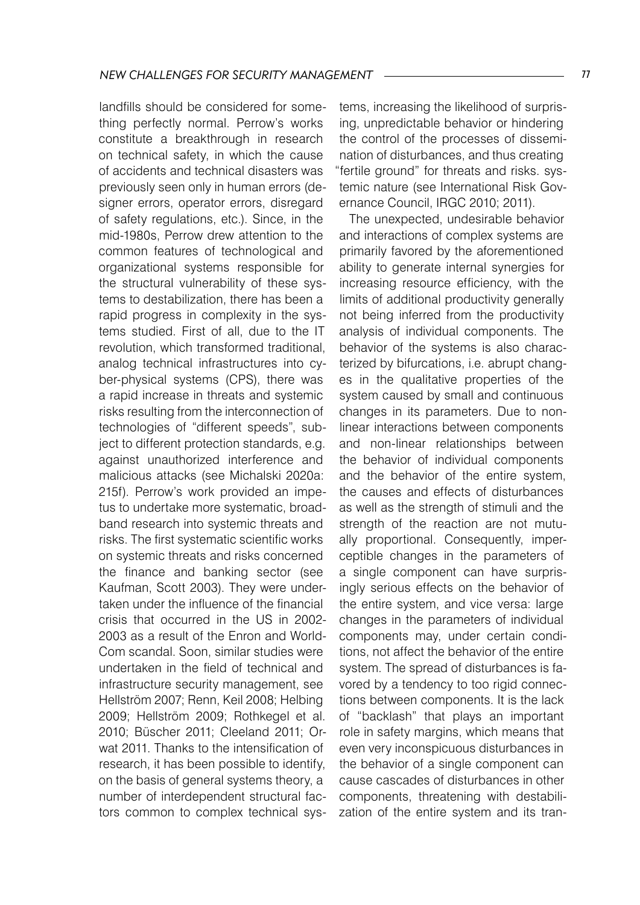landfills should be considered for something perfectly normal. Perrow's works constitute a breakthrough in research on technical safety, in which the cause of accidents and technical disasters was previously seen only in human errors (designer errors, operator errors, disregard of safety regulations, etc.). Since, in the mid-1980s, Perrow drew attention to the common features of technological and organizational systems responsible for the structural vulnerability of these systems to destabilization, there has been a rapid progress in complexity in the systems studied. First of all, due to the IT revolution, which transformed traditional, analog technical infrastructures into cyber-physical systems (CPS), there was a rapid increase in threats and systemic risks resulting from the interconnection of technologies of "different speeds", subject to different protection standards, e.g. against unauthorized interference and malicious attacks (see Michalski 2020a: 215f). Perrow's work provided an impetus to undertake more systematic, broadband research into systemic threats and risks. The first systematic scientific works on systemic threats and risks concerned the finance and banking sector (see Kaufman, Scott 2003). They were undertaken under the influence of the financial crisis that occurred in the US in 2002- 2003 as a result of the Enron and World-Com scandal. Soon, similar studies were undertaken in the field of technical and infrastructure security management, see Hellström 2007; Renn, Keil 2008; Helbing 2009; Hellström 2009; Rothkegel et al. 2010; Büscher 2011; Cleeland 2011; Orwat 2011. Thanks to the intensification of research, it has been possible to identify, on the basis of general systems theory, a number of interdependent structural factors common to complex technical sys-

tems, increasing the likelihood of surprising, unpredictable behavior or hindering the control of the processes of dissemination of disturbances, and thus creating "fertile ground" for threats and risks. systemic nature (see International Risk Governance Council, IRGC 2010; 2011).

The unexpected, undesirable behavior and interactions of complex systems are primarily favored by the aforementioned ability to generate internal synergies for increasing resource efficiency, with the limits of additional productivity generally not being inferred from the productivity analysis of individual components. The behavior of the systems is also characterized by bifurcations, i.e. abrupt changes in the qualitative properties of the system caused by small and continuous changes in its parameters. Due to nonlinear interactions between components and non-linear relationships between the behavior of individual components and the behavior of the entire system, the causes and effects of disturbances as well as the strength of stimuli and the strength of the reaction are not mutually proportional. Consequently, imperceptible changes in the parameters of a single component can have surprisingly serious effects on the behavior of the entire system, and vice versa: large changes in the parameters of individual components may, under certain conditions, not affect the behavior of the entire system. The spread of disturbances is favored by a tendency to too rigid connections between components. It is the lack of "backlash" that plays an important role in safety margins, which means that even very inconspicuous disturbances in the behavior of a single component can cause cascades of disturbances in other components, threatening with destabilization of the entire system and its tran-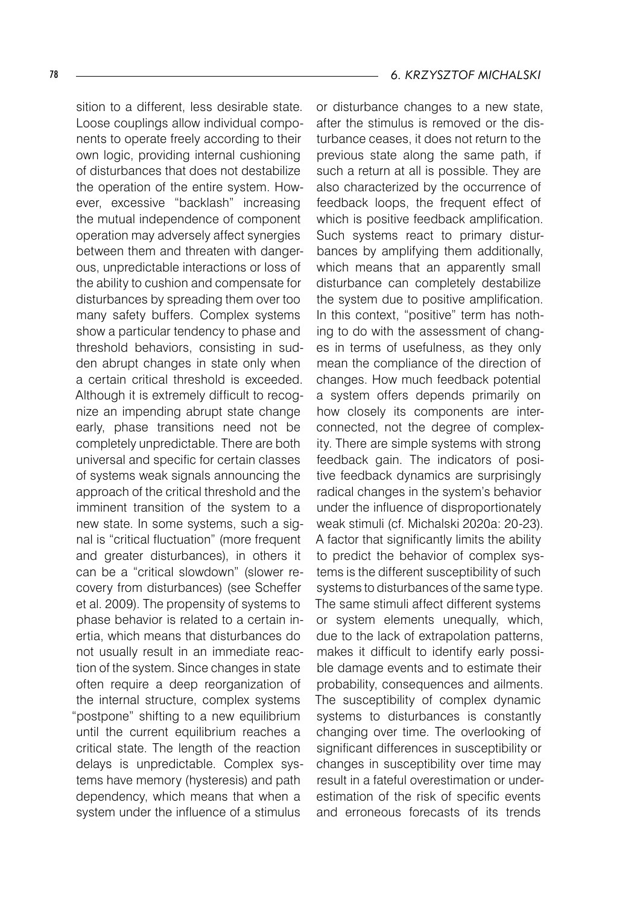sition to a different, less desirable state. Loose couplings allow individual components to operate freely according to their own logic, providing internal cushioning of disturbances that does not destabilize the operation of the entire system. However, excessive "backlash" increasing the mutual independence of component operation may adversely affect synergies between them and threaten with dangerous, unpredictable interactions or loss of the ability to cushion and compensate for disturbances by spreading them over too many safety buffers. Complex systems show a particular tendency to phase and threshold behaviors, consisting in sudden abrupt changes in state only when a certain critical threshold is exceeded. Although it is extremely difficult to recognize an impending abrupt state change early, phase transitions need not be completely unpredictable. There are both universal and specific for certain classes of systems weak signals announcing the approach of the critical threshold and the imminent transition of the system to a new state. In some systems, such a signal is "critical fluctuation" (more frequent and greater disturbances), in others it can be a "critical slowdown" (slower recovery from disturbances) (see Scheffer et al. 2009). The propensity of systems to phase behavior is related to a certain inertia, which means that disturbances do not usually result in an immediate reaction of the system. Since changes in state often require a deep reorganization of the internal structure, complex systems "postpone" shifting to a new equilibrium until the current equilibrium reaches a critical state. The length of the reaction delays is unpredictable. Complex systems have memory (hysteresis) and path dependency, which means that when a system under the influence of a stimulus

or disturbance changes to a new state, after the stimulus is removed or the disturbance ceases, it does not return to the previous state along the same path, if such a return at all is possible. They are also characterized by the occurrence of feedback loops, the frequent effect of which is positive feedback amplification. Such systems react to primary disturbances by amplifying them additionally, which means that an apparently small disturbance can completely destabilize the system due to positive amplification. In this context, "positive" term has nothing to do with the assessment of changes in terms of usefulness, as they only mean the compliance of the direction of changes. How much feedback potential a system offers depends primarily on how closely its components are interconnected, not the degree of complexity. There are simple systems with strong feedback gain. The indicators of positive feedback dynamics are surprisingly radical changes in the system's behavior under the influence of disproportionately weak stimuli (cf. Michalski 2020a: 20-23). A factor that significantly limits the ability to predict the behavior of complex systems is the different susceptibility of such systems to disturbances of the same type. The same stimuli affect different systems or system elements unequally, which, due to the lack of extrapolation patterns, makes it difficult to identify early possible damage events and to estimate their probability, consequences and ailments. The susceptibility of complex dynamic systems to disturbances is constantly changing over time. The overlooking of significant differences in susceptibility or changes in susceptibility over time may result in a fateful overestimation or underestimation of the risk of specific events and erroneous forecasts of its trends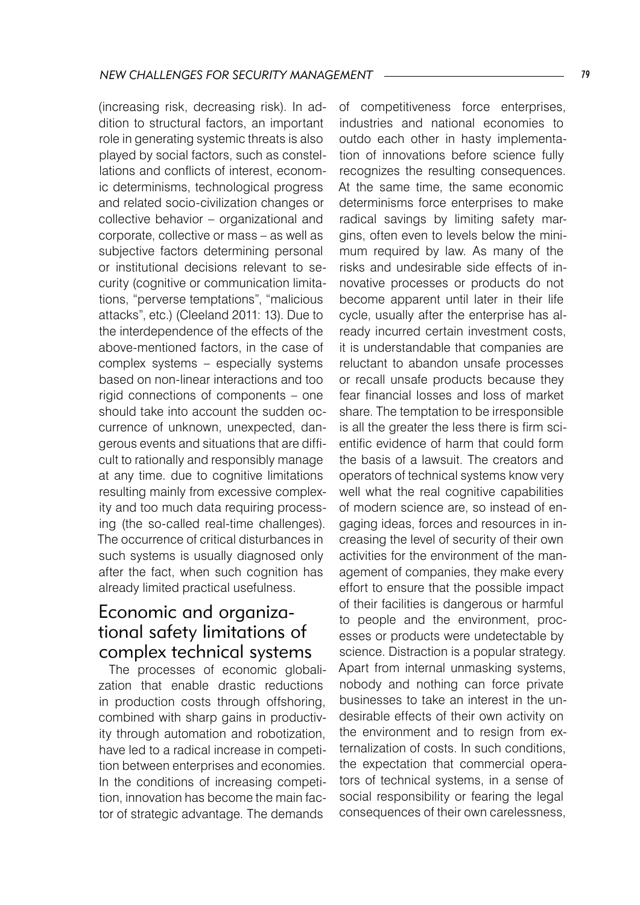(increasing risk, decreasing risk). In addition to structural factors, an important role in generating systemic threats is also played by social factors, such as constellations and conflicts of interest, economic determinisms, technological progress and related socio-civilization changes or collective behavior – organizational and corporate, collective or mass – as well as subjective factors determining personal or institutional decisions relevant to security (cognitive or communication limitations, "perverse temptations", "malicious attacks", etc.) (Cleeland 2011: 13). Due to the interdependence of the effects of the above-mentioned factors, in the case of complex systems – especially systems based on non-linear interactions and too rigid connections of components – one should take into account the sudden occurrence of unknown, unexpected, dangerous events and situations that are difficult to rationally and responsibly manage at any time. due to cognitive limitations resulting mainly from excessive complexity and too much data requiring processing (the so-called real-time challenges). The occurrence of critical disturbances in such systems is usually diagnosed only after the fact, when such cognition has already limited practical usefulness.

## Economic and organizational safety limitations of complex technical systems

The processes of economic globalization that enable drastic reductions in production costs through offshoring, combined with sharp gains in productivity through automation and robotization, have led to a radical increase in competition between enterprises and economies. In the conditions of increasing competition, innovation has become the main factor of strategic advantage. The demands

of competitiveness force enterprises, industries and national economies to outdo each other in hasty implementation of innovations before science fully recognizes the resulting consequences. At the same time, the same economic determinisms force enterprises to make radical savings by limiting safety margins, often even to levels below the minimum required by law. As many of the risks and undesirable side effects of innovative processes or products do not become apparent until later in their life cycle, usually after the enterprise has already incurred certain investment costs, it is understandable that companies are reluctant to abandon unsafe processes or recall unsafe products because they fear financial losses and loss of market share. The temptation to be irresponsible is all the greater the less there is firm scientific evidence of harm that could form the basis of a lawsuit. The creators and operators of technical systems know very well what the real cognitive capabilities of modern science are, so instead of engaging ideas, forces and resources in increasing the level of security of their own activities for the environment of the management of companies, they make every effort to ensure that the possible impact of their facilities is dangerous or harmful to people and the environment, processes or products were undetectable by science. Distraction is a popular strategy. Apart from internal unmasking systems, nobody and nothing can force private businesses to take an interest in the undesirable effects of their own activity on the environment and to resign from externalization of costs. In such conditions, the expectation that commercial operators of technical systems, in a sense of social responsibility or fearing the legal consequences of their own carelessness,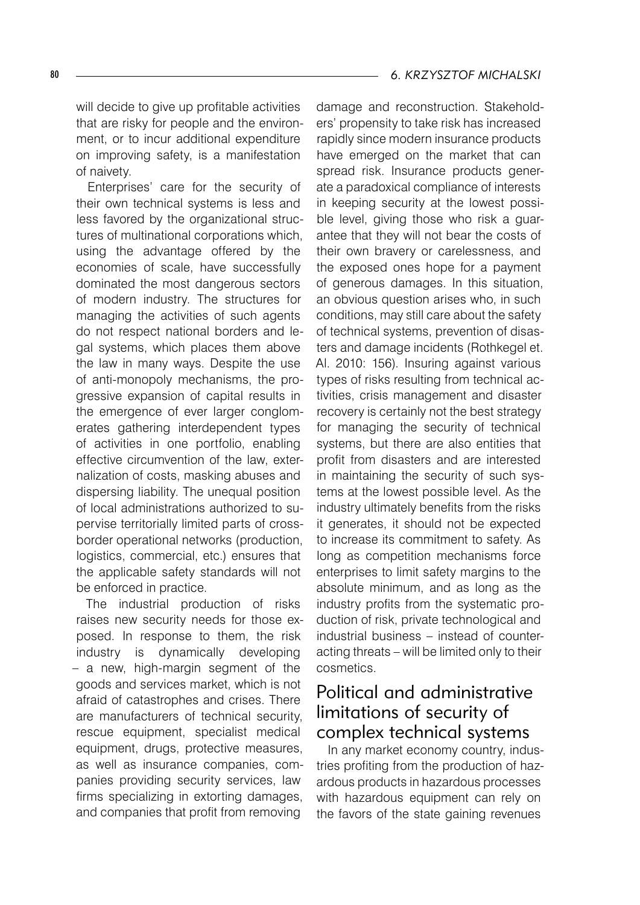will decide to give up profitable activities that are risky for people and the environment, or to incur additional expenditure on improving safety, is a manifestation of naivety.

Enterprises' care for the security of their own technical systems is less and less favored by the organizational structures of multinational corporations which, using the advantage offered by the economies of scale, have successfully dominated the most dangerous sectors of modern industry. The structures for managing the activities of such agents do not respect national borders and legal systems, which places them above the law in many ways. Despite the use of anti-monopoly mechanisms, the progressive expansion of capital results in the emergence of ever larger conglomerates gathering interdependent types of activities in one portfolio, enabling effective circumvention of the law, externalization of costs, masking abuses and dispersing liability. The unequal position of local administrations authorized to supervise territorially limited parts of crossborder operational networks (production, logistics, commercial, etc.) ensures that the applicable safety standards will not be enforced in practice.

The industrial production of risks raises new security needs for those exposed. In response to them, the risk industry is dynamically developing – a new, high-margin segment of the goods and services market, which is not afraid of catastrophes and crises. There are manufacturers of technical security, rescue equipment, specialist medical equipment, drugs, protective measures, as well as insurance companies, companies providing security services, law firms specializing in extorting damages, and companies that profit from removing

damage and reconstruction. Stakeholders' propensity to take risk has increased rapidly since modern insurance products have emerged on the market that can spread risk. Insurance products generate a paradoxical compliance of interests in keeping security at the lowest possible level, giving those who risk a guarantee that they will not bear the costs of their own bravery or carelessness, and the exposed ones hope for a payment of generous damages. In this situation, an obvious question arises who, in such conditions, may still care about the safety of technical systems, prevention of disasters and damage incidents (Rothkegel et. Al. 2010: 156). Insuring against various types of risks resulting from technical activities, crisis management and disaster recovery is certainly not the best strategy for managing the security of technical systems, but there are also entities that profit from disasters and are interested in maintaining the security of such systems at the lowest possible level. As the industry ultimately benefits from the risks it generates, it should not be expected to increase its commitment to safety. As long as competition mechanisms force enterprises to limit safety margins to the absolute minimum, and as long as the industry profits from the systematic production of risk, private technological and industrial business – instead of counteracting threats – will be limited only to their cosmetics.

## Political and administrative limitations of security of complex technical systems

In any market economy country, industries profiting from the production of hazardous products in hazardous processes with hazardous equipment can rely on the favors of the state gaining revenues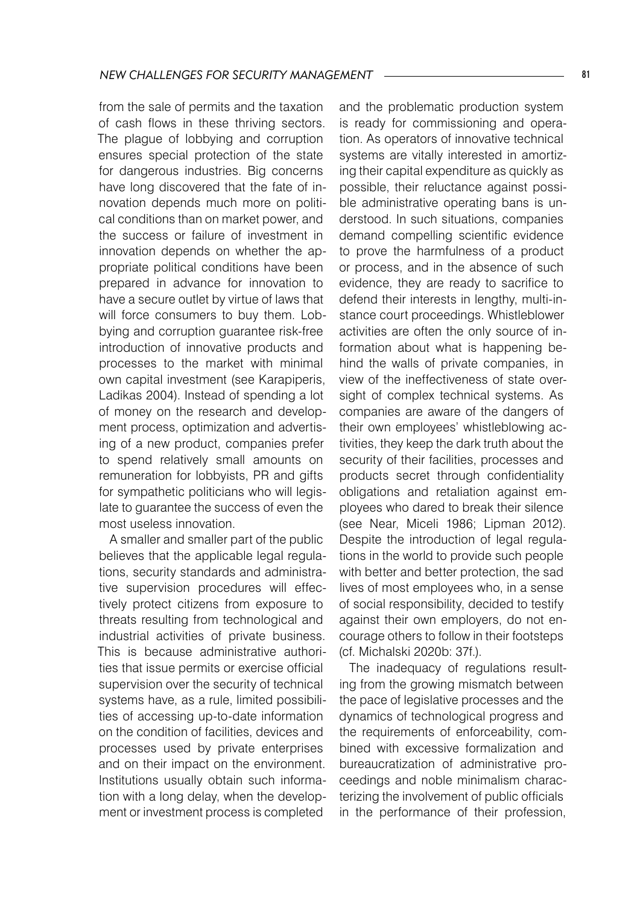from the sale of permits and the taxation of cash flows in these thriving sectors. The plague of lobbying and corruption ensures special protection of the state for dangerous industries. Big concerns have long discovered that the fate of innovation depends much more on political conditions than on market power, and the success or failure of investment in innovation depends on whether the appropriate political conditions have been prepared in advance for innovation to have a secure outlet by virtue of laws that will force consumers to buy them. Lobbying and corruption guarantee risk-free introduction of innovative products and processes to the market with minimal own capital investment (see Karapiperis, Ladikas 2004). Instead of spending a lot of money on the research and development process, optimization and advertising of a new product, companies prefer to spend relatively small amounts on remuneration for lobbyists, PR and gifts for sympathetic politicians who will legislate to guarantee the success of even the most useless innovation.

A smaller and smaller part of the public believes that the applicable legal regulations, security standards and administrative supervision procedures will effectively protect citizens from exposure to threats resulting from technological and industrial activities of private business. This is because administrative authorities that issue permits or exercise official supervision over the security of technical systems have, as a rule, limited possibilities of accessing up-to-date information on the condition of facilities, devices and processes used by private enterprises and on their impact on the environment. Institutions usually obtain such information with a long delay, when the development or investment process is completed

and the problematic production system is ready for commissioning and operation. As operators of innovative technical systems are vitally interested in amortizing their capital expenditure as quickly as possible, their reluctance against possible administrative operating bans is understood. In such situations, companies demand compelling scientific evidence to prove the harmfulness of a product or process, and in the absence of such evidence, they are ready to sacrifice to defend their interests in lengthy, multi-instance court proceedings. Whistleblower activities are often the only source of information about what is happening behind the walls of private companies, in view of the ineffectiveness of state oversight of complex technical systems. As companies are aware of the dangers of their own employees' whistleblowing activities, they keep the dark truth about the security of their facilities, processes and products secret through confidentiality obligations and retaliation against employees who dared to break their silence (see Near, Miceli 1986; Lipman 2012). Despite the introduction of legal regulations in the world to provide such people with better and better protection, the sad lives of most employees who, in a sense of social responsibility, decided to testify against their own employers, do not encourage others to follow in their footsteps (cf. Michalski 2020b: 37f.).

The inadequacy of regulations resulting from the growing mismatch between the pace of legislative processes and the dynamics of technological progress and the requirements of enforceability, combined with excessive formalization and bureaucratization of administrative proceedings and noble minimalism characterizing the involvement of public officials in the performance of their profession,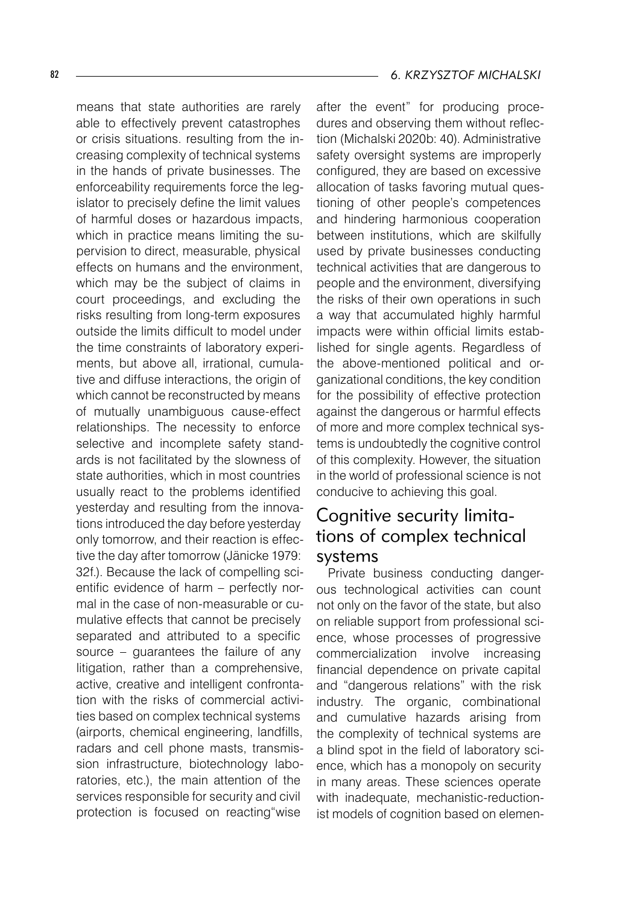means that state authorities are rarely able to effectively prevent catastrophes or crisis situations. resulting from the increasing complexity of technical systems in the hands of private businesses. The enforceability requirements force the legislator to precisely define the limit values of harmful doses or hazardous impacts, which in practice means limiting the supervision to direct, measurable, physical effects on humans and the environment, which may be the subject of claims in court proceedings, and excluding the risks resulting from long-term exposures outside the limits difficult to model under the time constraints of laboratory experiments, but above all, irrational, cumulative and diffuse interactions, the origin of which cannot be reconstructed by means of mutually unambiguous cause-effect relationships. The necessity to enforce selective and incomplete safety standards is not facilitated by the slowness of state authorities, which in most countries usually react to the problems identified yesterday and resulting from the innovations introduced the day before yesterday only tomorrow, and their reaction is effective the day after tomorrow (Jänicke 1979: 32f.). Because the lack of compelling scientific evidence of harm – perfectly normal in the case of non-measurable or cumulative effects that cannot be precisely separated and attributed to a specific source – guarantees the failure of any litigation, rather than a comprehensive, active, creative and intelligent confrontation with the risks of commercial activities based on complex technical systems (airports, chemical engineering, landfills, radars and cell phone masts, transmission infrastructure, biotechnology laboratories, etc.), the main attention of the services responsible for security and civil protection is focused on reacting"wise

after the event" for producing procedures and observing them without reflection (Michalski 2020b: 40). Administrative safety oversight systems are improperly configured, they are based on excessive allocation of tasks favoring mutual questioning of other people's competences and hindering harmonious cooperation between institutions, which are skilfully used by private businesses conducting technical activities that are dangerous to people and the environment, diversifying the risks of their own operations in such a way that accumulated highly harmful impacts were within official limits established for single agents. Regardless of the above-mentioned political and organizational conditions, the key condition for the possibility of effective protection against the dangerous or harmful effects of more and more complex technical systems is undoubtedly the cognitive control of this complexity. However, the situation in the world of professional science is not conducive to achieving this goal.

## Cognitive security limitations of complex technical systems

Private business conducting dangerous technological activities can count not only on the favor of the state, but also on reliable support from professional science, whose processes of progressive commercialization involve increasing financial dependence on private capital and "dangerous relations" with the risk industry. The organic, combinational and cumulative hazards arising from the complexity of technical systems are a blind spot in the field of laboratory science, which has a monopoly on security in many areas. These sciences operate with inadequate, mechanistic-reductionist models of cognition based on elemen-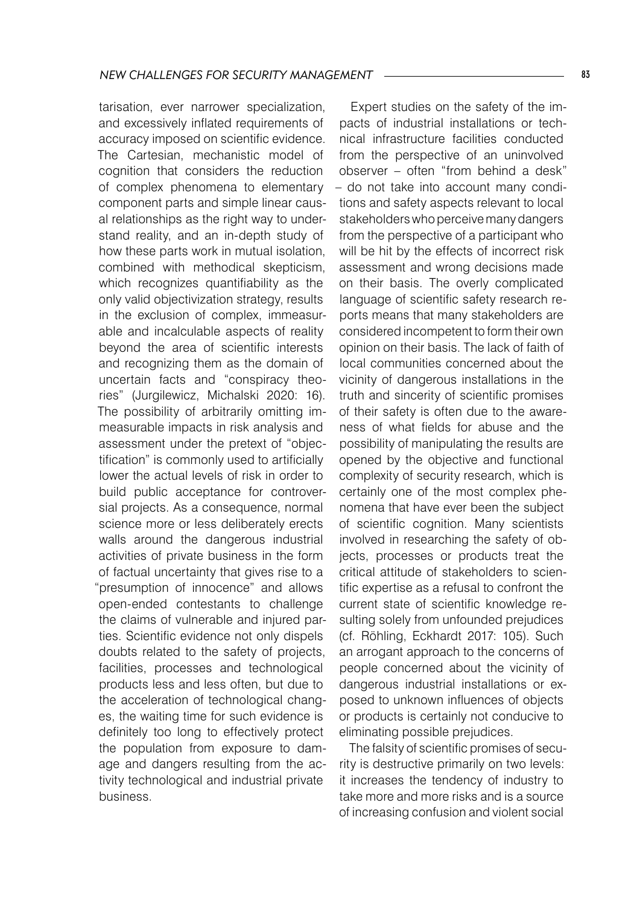tarisation, ever narrower specialization, and excessively inflated requirements of accuracy imposed on scientific evidence. The Cartesian, mechanistic model of cognition that considers the reduction of complex phenomena to elementary component parts and simple linear causal relationships as the right way to understand reality, and an in-depth study of how these parts work in mutual isolation, combined with methodical skepticism, which recognizes quantifiability as the only valid objectivization strategy, results in the exclusion of complex, immeasurable and incalculable aspects of reality beyond the area of scientific interests and recognizing them as the domain of uncertain facts and "conspiracy theories" (Jurgilewicz, Michalski 2020: 16). The possibility of arbitrarily omitting immeasurable impacts in risk analysis and assessment under the pretext of "objectification" is commonly used to artificially lower the actual levels of risk in order to build public acceptance for controversial projects. As a consequence, normal science more or less deliberately erects walls around the dangerous industrial activities of private business in the form of factual uncertainty that gives rise to a "presumption of innocence" and allows open-ended contestants to challenge the claims of vulnerable and injured parties. Scientific evidence not only dispels doubts related to the safety of projects, facilities, processes and technological products less and less often, but due to the acceleration of technological changes, the waiting time for such evidence is definitely too long to effectively protect the population from exposure to damage and dangers resulting from the activity technological and industrial private business.

Expert studies on the safety of the impacts of industrial installations or technical infrastructure facilities conducted from the perspective of an uninvolved observer – often "from behind a desk" – do not take into account many conditions and safety aspects relevant to local stakeholders who perceive many dangers from the perspective of a participant who will be hit by the effects of incorrect risk assessment and wrong decisions made on their basis. The overly complicated language of scientific safety research reports means that many stakeholders are considered incompetent to form their own opinion on their basis. The lack of faith of local communities concerned about the vicinity of dangerous installations in the truth and sincerity of scientific promises of their safety is often due to the awareness of what fields for abuse and the possibility of manipulating the results are opened by the objective and functional complexity of security research, which is certainly one of the most complex phenomena that have ever been the subject of scientific cognition. Many scientists involved in researching the safety of objects, processes or products treat the critical attitude of stakeholders to scientific expertise as a refusal to confront the current state of scientific knowledge resulting solely from unfounded prejudices (cf. Röhling, Eckhardt 2017: 105). Such an arrogant approach to the concerns of people concerned about the vicinity of dangerous industrial installations or exposed to unknown influences of objects or products is certainly not conducive to eliminating possible prejudices.

The falsity of scientific promises of security is destructive primarily on two levels: it increases the tendency of industry to take more and more risks and is a source of increasing confusion and violent social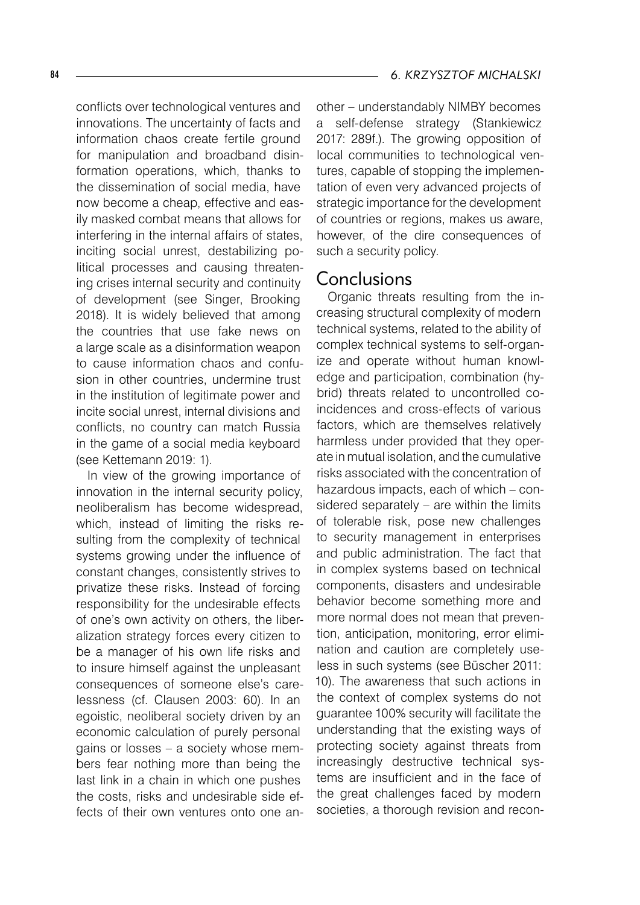conflicts over technological ventures and innovations. The uncertainty of facts and information chaos create fertile ground for manipulation and broadband disinformation operations, which, thanks to the dissemination of social media, have now become a cheap, effective and easily masked combat means that allows for interfering in the internal affairs of states, inciting social unrest, destabilizing political processes and causing threatening crises internal security and continuity of development (see Singer, Brooking 2018). It is widely believed that among the countries that use fake news on a large scale as a disinformation weapon to cause information chaos and confusion in other countries, undermine trust in the institution of legitimate power and incite social unrest, internal divisions and conflicts, no country can match Russia in the game of a social media keyboard (see Kettemann 2019: 1).

In view of the growing importance of innovation in the internal security policy, neoliberalism has become widespread, which, instead of limiting the risks resulting from the complexity of technical systems growing under the influence of constant changes, consistently strives to privatize these risks. Instead of forcing responsibility for the undesirable effects of one's own activity on others, the liberalization strategy forces every citizen to be a manager of his own life risks and to insure himself against the unpleasant consequences of someone else's carelessness (cf. Clausen 2003: 60). In an egoistic, neoliberal society driven by an economic calculation of purely personal gains or losses – a society whose members fear nothing more than being the last link in a chain in which one pushes the costs, risks and undesirable side effects of their own ventures onto one another – understandably NIMBY becomes a self-defense strategy (Stankiewicz 2017: 289f.). The growing opposition of local communities to technological ventures, capable of stopping the implementation of even very advanced projects of strategic importance for the development of countries or regions, makes us aware, however, of the dire consequences of such a security policy.

#### Conclusions

Organic threats resulting from the increasing structural complexity of modern technical systems, related to the ability of complex technical systems to self-organize and operate without human knowledge and participation, combination (hybrid) threats related to uncontrolled coincidences and cross-effects of various factors, which are themselves relatively harmless under provided that they operate in mutual isolation, and the cumulative risks associated with the concentration of hazardous impacts, each of which – considered separately – are within the limits of tolerable risk, pose new challenges to security management in enterprises and public administration. The fact that in complex systems based on technical components, disasters and undesirable behavior become something more and more normal does not mean that prevention, anticipation, monitoring, error elimination and caution are completely useless in such systems (see Büscher 2011: 10). The awareness that such actions in the context of complex systems do not guarantee 100% security will facilitate the understanding that the existing ways of protecting society against threats from increasingly destructive technical systems are insufficient and in the face of the great challenges faced by modern societies, a thorough revision and recon-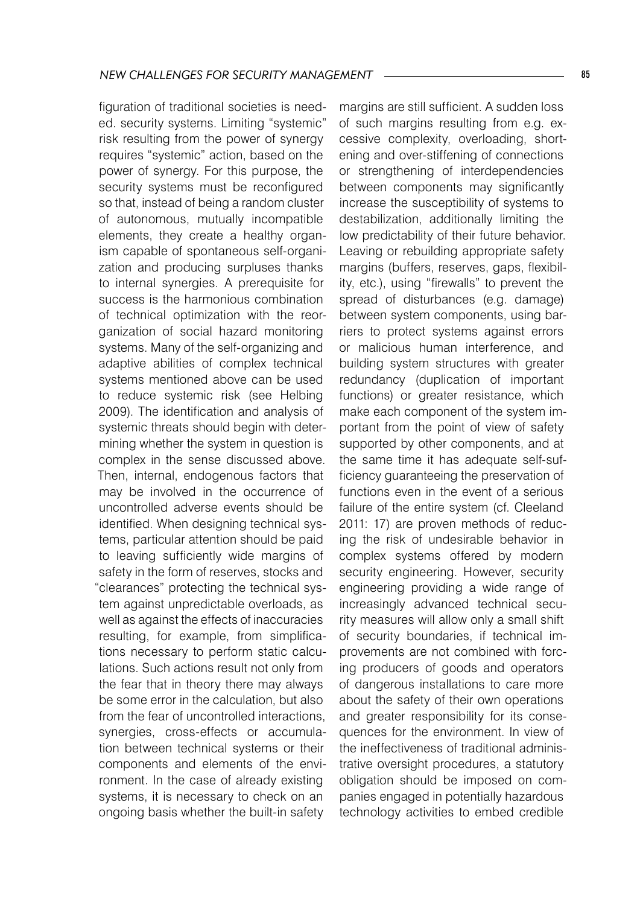figuration of traditional societies is needed. security systems. Limiting "systemic" risk resulting from the power of synergy requires "systemic" action, based on the power of synergy. For this purpose, the security systems must be reconfigured so that, instead of being a random cluster of autonomous, mutually incompatible elements, they create a healthy organism capable of spontaneous self-organization and producing surpluses thanks to internal synergies. A prerequisite for success is the harmonious combination of technical optimization with the reorganization of social hazard monitoring systems. Many of the self-organizing and adaptive abilities of complex technical systems mentioned above can be used to reduce systemic risk (see Helbing 2009). The identification and analysis of systemic threats should begin with determining whether the system in question is complex in the sense discussed above. Then, internal, endogenous factors that may be involved in the occurrence of uncontrolled adverse events should be identified. When designing technical systems, particular attention should be paid to leaving sufficiently wide margins of safety in the form of reserves, stocks and "clearances" protecting the technical system against unpredictable overloads, as well as against the effects of inaccuracies resulting, for example, from simplifications necessary to perform static calculations. Such actions result not only from the fear that in theory there may always be some error in the calculation, but also from the fear of uncontrolled interactions, synergies, cross-effects or accumulation between technical systems or their components and elements of the environment. In the case of already existing systems, it is necessary to check on an ongoing basis whether the built-in safety

margins are still sufficient. A sudden loss of such margins resulting from e.g. excessive complexity, overloading, shortening and over-stiffening of connections or strengthening of interdependencies between components may significantly increase the susceptibility of systems to destabilization, additionally limiting the low predictability of their future behavior. Leaving or rebuilding appropriate safety margins (buffers, reserves, gaps, flexibility, etc.), using "firewalls" to prevent the spread of disturbances (e.g. damage) between system components, using barriers to protect systems against errors or malicious human interference, and building system structures with greater redundancy (duplication of important functions) or greater resistance, which make each component of the system important from the point of view of safety supported by other components, and at the same time it has adequate self-sufficiency guaranteeing the preservation of functions even in the event of a serious failure of the entire system (cf. Cleeland 2011: 17) are proven methods of reducing the risk of undesirable behavior in complex systems offered by modern security engineering. However, security engineering providing a wide range of increasingly advanced technical security measures will allow only a small shift of security boundaries, if technical improvements are not combined with forcing producers of goods and operators of dangerous installations to care more about the safety of their own operations and greater responsibility for its consequences for the environment. In view of the ineffectiveness of traditional administrative oversight procedures, a statutory obligation should be imposed on companies engaged in potentially hazardous technology activities to embed credible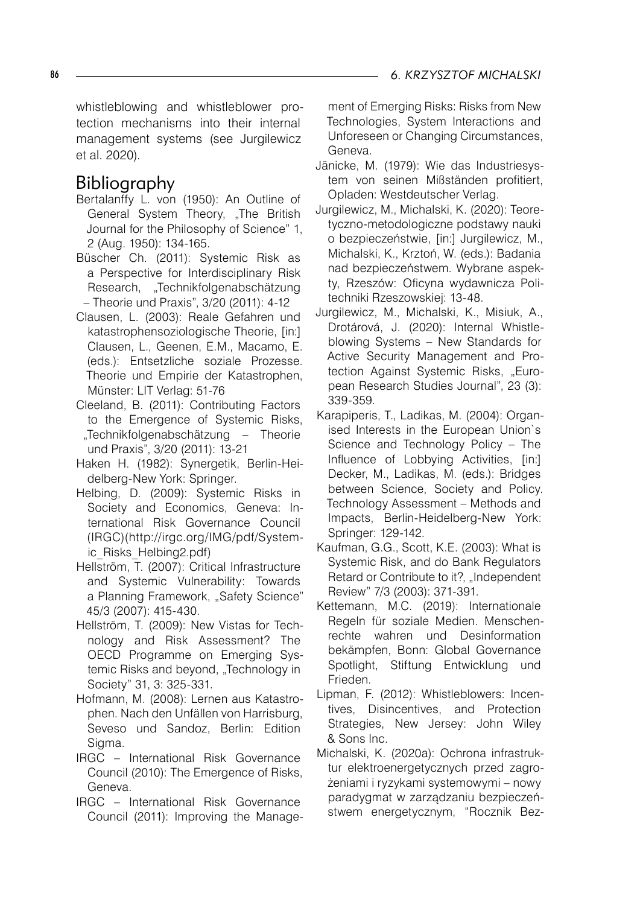whistleblowing and whistleblower protection mechanisms into their internal management systems (see Jurgilewicz et al. 2020).

# Bibliography

- Bertalanffy L. von (1950): An Outline of General System Theory, "The British Journal for the Philosophy of Science" 1, 2 (Aug. 1950): 134-165.
- Büscher Ch. (2011): Systemic Risk as a Perspective for Interdisciplinary Risk Research, "Technikfolgenabschätzung – Theorie und Praxis", 3/20 (2011): 4-12
- Clausen, L. (2003): Reale Gefahren und katastrophensoziologische Theorie, [in:] Clausen, L., Geenen, E.M., Macamo, E. (eds.): Entsetzliche soziale Prozesse. Theorie und Empirie der Katastrophen, Münster: LIT Verlag: 51-76
- Cleeland, B. (2011): Contributing Factors to the Emergence of Systemic Risks, "Technikfolgenabschätzung – Theorie und Praxis", 3/20 (2011): 13-21
- Haken H. (1982): Synergetik, Berlin-Heidelberg-New York: Springer.
- Helbing, D. (2009): Systemic Risks in Society and Economics, Geneva: International Risk Governance Council (IRGC)(http://irgc.org/IMG/pdf/Systemic\_Risks\_Helbing2.pdf)
- Hellström, T. (2007): Critical Infrastructure and Systemic Vulnerability: Towards a Planning Framework, "Safety Science" 45/3 (2007): 415-430.
- Hellström, T. (2009): New Vistas for Technology and Risk Assessment? The OECD Programme on Emerging Systemic Risks and beyond, "Technology in Society" 31, 3: 325-331.
- Hofmann, M. (2008): Lernen aus Katastrophen. Nach den Unfällen von Harrisburg, Seveso und Sandoz, Berlin: Edition Sigma.
- IRGC International Risk Governance Council (2010): The Emergence of Risks, Geneva.
- IRGC International Risk Governance Council (2011): Improving the Manage-

ment of Emerging Risks: Risks from New Technologies, System Interactions and Unforeseen or Changing Circumstances, Geneva.

- Jänicke, M. (1979): Wie das Industriesystem von seinen Mißständen profitiert, Opladen: Westdeutscher Verlag.
- Jurgilewicz, M., Michalski, K. (2020): Teoretyczno-metodologiczne podstawy nauki o bezpieczeństwie, [in:] Jurgilewicz, M., Michalski, K., Krztoń, W. (eds.): Badania nad bezpieczeństwem. Wybrane aspekty, Rzeszów: Oficyna wydawnicza Politechniki Rzeszowskiej: 13-48.
- Jurgilewicz, M., Michalski, K., Misiuk, A., Drotárová, J. (2020): Internal Whistleblowing Systems – New Standards for Active Security Management and Protection Against Systemic Risks, "European Research Studies Journal", 23 (3): 339-359.
- Karapiperis, T., Ladikas, M. (2004): Organised Interests in the European Union`s Science and Technology Policy – The Influence of Lobbying Activities, [in:] Decker, M., Ladikas, M. (eds.): Bridges between Science, Society and Policy. Technology Assessment – Methods and Impacts, Berlin-Heidelberg-New York: Springer: 129-142.
- Kaufman, G.G., Scott, K.E. (2003): What is Systemic Risk, and do Bank Regulators Retard or Contribute to it?, "Independent Review" 7/3 (2003): 371-391.
- Kettemann, M.C. (2019): Internationale Regeln für soziale Medien. Menschenrechte wahren und Desinformation bekämpfen, Bonn: Global Governance Spotlight, Stiftung Entwicklung und Frieden.
- Lipman, F. (2012): Whistleblowers: Incentives, Disincentives, and Protection Strategies, New Jersey: John Wiley & Sons Inc.
- Michalski, K. (2020a): Ochrona infrastruktur elektroenergetycznych przed zagrożeniami i ryzykami systemowymi – nowy paradygmat w zarządzaniu bezpieczeństwem energetycznym, "Rocznik Bez-